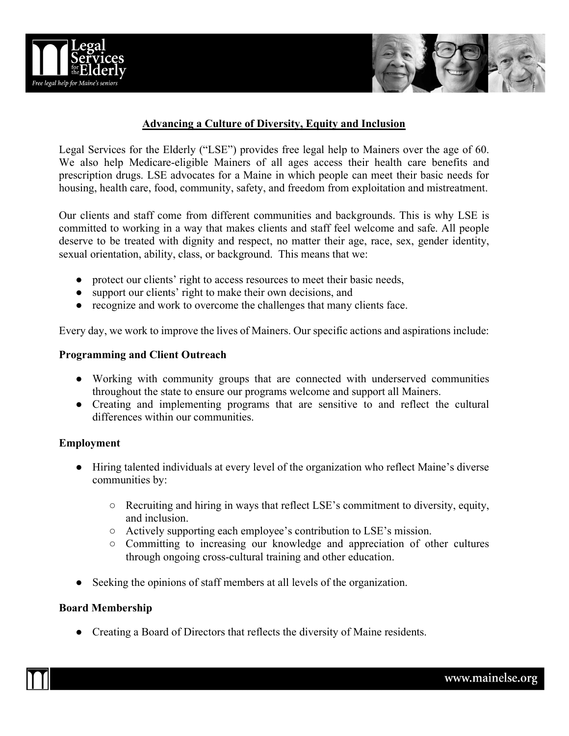



# **Advancing a Culture of Diversity, Equity and Inclusion**

Legal Services for the Elderly ("LSE") provides free legal help to Mainers over the age of 60. We also help Medicare-eligible Mainers of all ages access their health care benefits and prescription drugs. LSE advocates for a Maine in which people can meet their basic needs for housing, health care, food, community, safety, and freedom from exploitation and mistreatment.

Our clients and staff come from different communities and backgrounds. This is why LSE is committed to working in a way that makes clients and staff feel welcome and safe. All people deserve to be treated with dignity and respect, no matter their age, race, sex, gender identity, sexual orientation, ability, class, or background. This means that we:

- protect our clients' right to access resources to meet their basic needs,
- support our clients' right to make their own decisions, and
- recognize and work to overcome the challenges that many clients face.

Every day, we work to improve the lives of Mainers. Our specific actions and aspirations include:

### **Programming and Client Outreach**

- Working with community groups that are connected with underserved communities throughout the state to ensure our programs welcome and support all Mainers.
- Creating and implementing programs that are sensitive to and reflect the cultural differences within our communities.

#### **Employment**

- Hiring talented individuals at every level of the organization who reflect Maine's diverse communities by:
	- Recruiting and hiring in ways that reflect LSE's commitment to diversity, equity, and inclusion.
	- Actively supporting each employee's contribution to LSE's mission.
	- Committing to increasing our knowledge and appreciation of other cultures through ongoing cross-cultural training and other education.
- Seeking the opinions of staff members at all levels of the organization.

#### **Board Membership**

● Creating a Board of Directors that reflects the diversity of Maine residents.